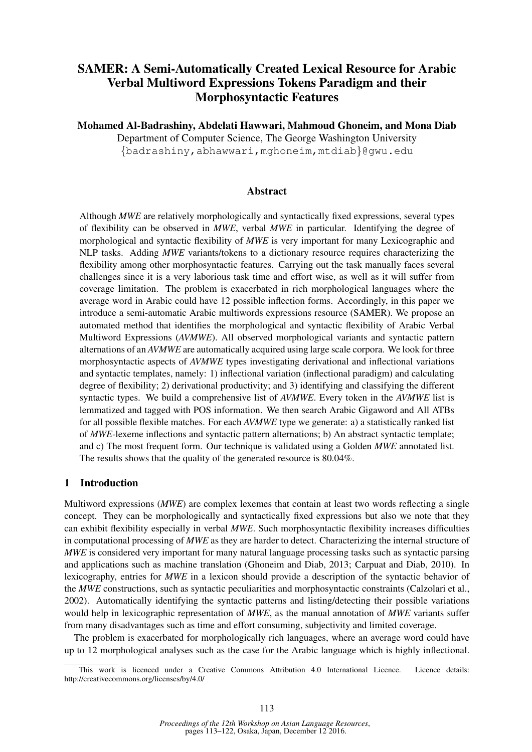# SAMER: A Semi-Automatically Created Lexical Resource for Arabic Verbal Multiword Expressions Tokens Paradigm and their Morphosyntactic Features

Mohamed Al-Badrashiny, Abdelati Hawwari, Mahmoud Ghoneim, and Mona Diab Department of Computer Science, The George Washington University {badrashiny,abhawwari,mghoneim,mtdiab}@gwu.edu

#### Abstract

Although *MWE* are relatively morphologically and syntactically fixed expressions, several types of flexibility can be observed in *MWE*, verbal *MWE* in particular. Identifying the degree of morphological and syntactic flexibility of *MWE* is very important for many Lexicographic and NLP tasks. Adding *MWE* variants/tokens to a dictionary resource requires characterizing the flexibility among other morphosyntactic features. Carrying out the task manually faces several challenges since it is a very laborious task time and effort wise, as well as it will suffer from coverage limitation. The problem is exacerbated in rich morphological languages where the average word in Arabic could have 12 possible inflection forms. Accordingly, in this paper we introduce a semi-automatic Arabic multiwords expressions resource (SAMER). We propose an automated method that identifies the morphological and syntactic flexibility of Arabic Verbal Multiword Expressions (*AVMWE*). All observed morphological variants and syntactic pattern alternations of an *AVMWE* are automatically acquired using large scale corpora. We look for three morphosyntactic aspects of *AVMWE* types investigating derivational and inflectional variations and syntactic templates, namely: 1) inflectional variation (inflectional paradigm) and calculating degree of flexibility; 2) derivational productivity; and 3) identifying and classifying the different syntactic types. We build a comprehensive list of *AVMWE*. Every token in the *AVMWE* list is lemmatized and tagged with POS information. We then search Arabic Gigaword and All ATBs for all possible flexible matches. For each *AVMWE* type we generate: a) a statistically ranked list of *MWE*-lexeme inflections and syntactic pattern alternations; b) An abstract syntactic template; and c) The most frequent form. Our technique is validated using a Golden *MWE* annotated list. The results shows that the quality of the generated resource is 80.04%.

#### 1 Introduction

Multiword expressions (*MWE*) are complex lexemes that contain at least two words reflecting a single concept. They can be morphologically and syntactically fixed expressions but also we note that they can exhibit flexibility especially in verbal *MWE*. Such morphosyntactic flexibility increases difficulties in computational processing of *MWE* as they are harder to detect. Characterizing the internal structure of *MWE* is considered very important for many natural language processing tasks such as syntactic parsing and applications such as machine translation (Ghoneim and Diab, 2013; Carpuat and Diab, 2010). In lexicography, entries for *MWE* in a lexicon should provide a description of the syntactic behavior of the *MWE* constructions, such as syntactic peculiarities and morphosyntactic constraints (Calzolari et al., 2002). Automatically identifying the syntactic patterns and listing/detecting their possible variations would help in lexicographic representation of *MWE*, as the manual annotation of *MWE* variants suffer from many disadvantages such as time and effort consuming, subjectivity and limited coverage.

The problem is exacerbated for morphologically rich languages, where an average word could have up to 12 morphological analyses such as the case for the Arabic language which is highly inflectional.

This work is licenced under a Creative Commons Attribution 4.0 International Licence. Licence details: http://creativecommons.org/licenses/by/4.0/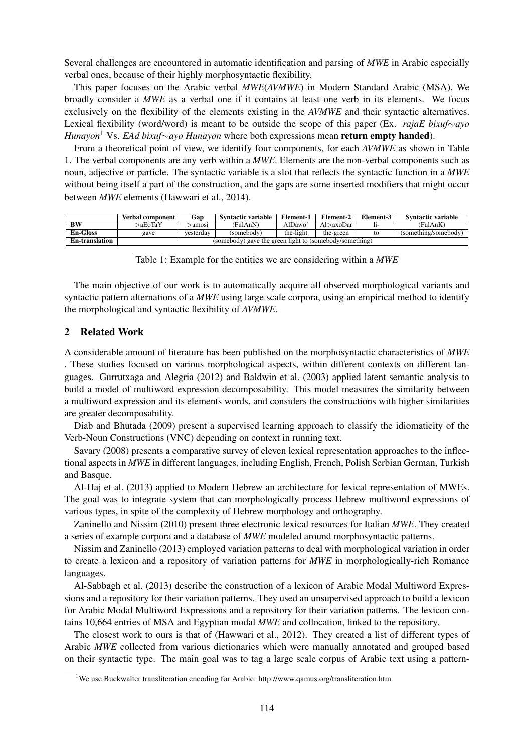Several challenges are encountered in automatic identification and parsing of *MWE* in Arabic especially verbal ones, because of their highly morphosyntactic flexibility.

This paper focuses on the Arabic verbal *MWE*(*AVMWE*) in Modern Standard Arabic (MSA). We broadly consider a *MWE* as a verbal one if it contains at least one verb in its elements. We focus exclusively on the flexibility of the elements existing in the *AVMWE* and their syntactic alternatives. Lexical flexibility (word/word) is meant to be outside the scope of this paper (Ex. *rajaE bixuf*∼*ayo Hunayon*<sup>1</sup> Vs. *EAd bixuf*∼*ayo Hunayon* where both expressions mean **return empty handed**).

From a theoretical point of view, we identify four components, for each *AVMWE* as shown in Table 1. The verbal components are any verb within a *MWE*. Elements are the non-verbal components such as noun, adjective or particle. The syntactic variable is a slot that reflects the syntactic function in a *MWE* without being itself a part of the construction, and the gaps are some inserted modifiers that might occur between *MWE* elements (Hawwari et al., 2014).

|                          | <b>Verbal component</b>                                 | Gap       | <b>Syntactic variable</b> | Element-1 | Element-2 | Element-3 | <b>Syntactic variable</b> |
|--------------------------|---------------------------------------------------------|-----------|---------------------------|-----------|-----------|-----------|---------------------------|
| $\overline{\mathbf{BW}}$ | >aEoTaY                                                 | amosi>    | (FulAnN)                  | AlDawo    | Al>axoDar |           | (FulAnK)                  |
| <b>En-Gloss</b>          | gave                                                    | vesterday | (somebody)                | the-light | the-green | to        | (something/somebody)      |
| <b>En-translation</b>    | (somebody) gave the green light to (somebody/something) |           |                           |           |           |           |                           |

Table 1: Example for the entities we are considering within a *MWE*

The main objective of our work is to automatically acquire all observed morphological variants and syntactic pattern alternations of a *MWE* using large scale corpora, using an empirical method to identify the morphological and syntactic flexibility of *AVMWE*.

# 2 Related Work

A considerable amount of literature has been published on the morphosyntactic characteristics of *MWE* . These studies focused on various morphological aspects, within different contexts on different languages. Gurrutxaga and Alegria (2012) and Baldwin et al. (2003) applied latent semantic analysis to build a model of multiword expression decomposability. This model measures the similarity between a multiword expression and its elements words, and considers the constructions with higher similarities are greater decomposability.

Diab and Bhutada (2009) present a supervised learning approach to classify the idiomaticity of the Verb-Noun Constructions (VNC) depending on context in running text.

Savary (2008) presents a comparative survey of eleven lexical representation approaches to the inflectional aspects in *MWE* in different languages, including English, French, Polish Serbian German, Turkish and Basque.

Al-Haj et al. (2013) applied to Modern Hebrew an architecture for lexical representation of MWEs. The goal was to integrate system that can morphologically process Hebrew multiword expressions of various types, in spite of the complexity of Hebrew morphology and orthography.

Zaninello and Nissim (2010) present three electronic lexical resources for Italian *MWE*. They created a series of example corpora and a database of *MWE* modeled around morphosyntactic patterns.

Nissim and Zaninello (2013) employed variation patterns to deal with morphological variation in order to create a lexicon and a repository of variation patterns for *MWE* in morphologically-rich Romance languages.

Al-Sabbagh et al. (2013) describe the construction of a lexicon of Arabic Modal Multiword Expressions and a repository for their variation patterns. They used an unsupervised approach to build a lexicon for Arabic Modal Multiword Expressions and a repository for their variation patterns. The lexicon contains 10,664 entries of MSA and Egyptian modal *MWE* and collocation, linked to the repository.

The closest work to ours is that of (Hawwari et al., 2012). They created a list of different types of Arabic *MWE* collected from various dictionaries which were manually annotated and grouped based on their syntactic type. The main goal was to tag a large scale corpus of Arabic text using a pattern-

<sup>1</sup>We use Buckwalter transliteration encoding for Arabic: http://www.qamus.org/transliteration.htm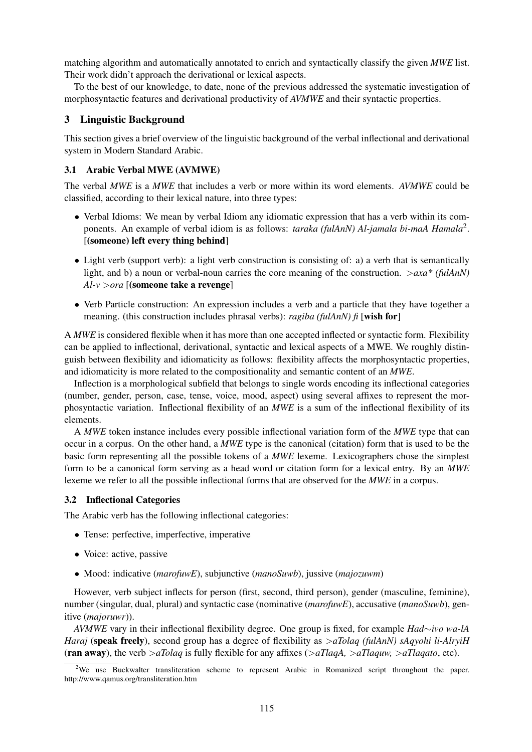matching algorithm and automatically annotated to enrich and syntactically classify the given *MWE* list. Their work didn't approach the derivational or lexical aspects.

To the best of our knowledge, to date, none of the previous addressed the systematic investigation of morphosyntactic features and derivational productivity of *AVMWE* and their syntactic properties.

# 3 Linguistic Background

This section gives a brief overview of the linguistic background of the verbal inflectional and derivational system in Modern Standard Arabic.

# 3.1 Arabic Verbal MWE (AVMWE)

The verbal *MWE* is a *MWE* that includes a verb or more within its word elements. *AVMWE* could be classified, according to their lexical nature, into three types:

- Verbal Idioms: We mean by verbal Idiom any idiomatic expression that has a verb within its components. An example of verbal idiom is as follows: *taraka (fulAnN) Al-jamala bi-maA Hamala*<sup>2</sup> . [(someone) left every thing behind]
- Light verb (support verb): a light verb construction is consisting of: a) a verb that is semantically light, and b) a noun or verbal-noun carries the core meaning of the construction. >*axa\* (fulAnN) Al-v* >*ora* [(someone take a revenge]
- Verb Particle construction: An expression includes a verb and a particle that they have together a meaning. (this construction includes phrasal verbs): *ragiba (fulAnN) fi* [wish for]

A *MWE* is considered flexible when it has more than one accepted inflected or syntactic form. Flexibility can be applied to inflectional, derivational, syntactic and lexical aspects of a MWE. We roughly distinguish between flexibility and idiomaticity as follows: flexibility affects the morphosyntactic properties, and idiomaticity is more related to the compositionality and semantic content of an *MWE*.

Inflection is a morphological subfield that belongs to single words encoding its inflectional categories (number, gender, person, case, tense, voice, mood, aspect) using several affixes to represent the morphosyntactic variation. Inflectional flexibility of an *MWE* is a sum of the inflectional flexibility of its elements.

A *MWE* token instance includes every possible inflectional variation form of the *MWE* type that can occur in a corpus. On the other hand, a *MWE* type is the canonical (citation) form that is used to be the basic form representing all the possible tokens of a *MWE* lexeme. Lexicographers chose the simplest form to be a canonical form serving as a head word or citation form for a lexical entry. By an *MWE* lexeme we refer to all the possible inflectional forms that are observed for the *MWE* in a corpus.

# 3.2 Inflectional Categories

The Arabic verb has the following inflectional categories:

- Tense: perfective, imperfective, imperative
- Voice: active, passive
- Mood: indicative (*marofuwE*), subjunctive (*manoSuwb*), jussive (*majozuwm*)

However, verb subject inflects for person (first, second, third person), gender (masculine, feminine), number (singular, dual, plural) and syntactic case (nominative (*marofuwE*), accusative (*manoSuwb*), genitive (*majoruwr*)).

*AVMWE* vary in their inflectional flexibility degree. One group is fixed, for example *Had*∼*ivo wa-lA Haraj* (speak freely), second group has a degree of flexibility as  $>aTolaq$  (fulAnN) sAqyohi li-AlryiH (ran away), the verb >*aTolaq* is fully flexible for any affixes (>*aTlaqA,* >*aTlaquw,* >*aTlaqato*, etc).

<sup>&</sup>lt;sup>2</sup>We use Buckwalter transliteration scheme to represent Arabic in Romanized script throughout the paper. http://www.qamus.org/transliteration.htm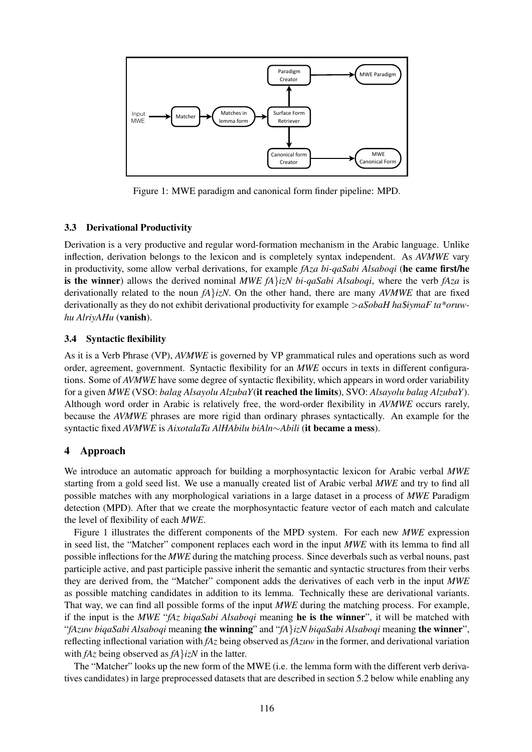

Figure 1: MWE paradigm and canonical form finder pipeline: MPD.

# 3.3 Derivational Productivity

Derivation is a very productive and regular word-formation mechanism in the Arabic language. Unlike inflection, derivation belongs to the lexicon and is completely syntax independent. As *AVMWE* vary in productivity, some allow verbal derivations, for example *fAza bi-qaSabi Alsaboqi* (he came first/he is the winner) allows the derived nominal *MWE fA*}*izN bi-qaSabi Alsaboqi*, where the verb *fAza* is derivationally related to the noun *fA*}*izN*. On the other hand, there are many *AVMWE* that are fixed derivationally as they do not exhibit derivational productivity for example >*aSobaH ha*\$*iymaF ta\*oruwhu AlriyAHu* (vanish).

# 3.4 Syntactic flexibility

As it is a Verb Phrase (VP), *AVMWE* is governed by VP grammatical rules and operations such as word order, agreement, government. Syntactic flexibility for an *MWE* occurs in texts in different configurations. Some of *AVMWE* have some degree of syntactic flexibility, which appears in word order variability for a given *MWE* (VSO: *balag Alsayolu AlzubaY*(it reached the limits), SVO: *Alsayolu balag AlzubaY*). Although word order in Arabic is relatively free, the word-order flexibility in *AVMWE* occurs rarely, because the *AVMWE* phrases are more rigid than ordinary phrases syntactically. An example for the syntactic fixed *AVMWE* is *AixotalaTa AlHAbilu biAln*∼*Abili* (it became a mess).

# 4 Approach

We introduce an automatic approach for building a morphosyntactic lexicon for Arabic verbal *MWE* starting from a gold seed list. We use a manually created list of Arabic verbal *MWE* and try to find all possible matches with any morphological variations in a large dataset in a process of *MWE* Paradigm detection (MPD). After that we create the morphosyntactic feature vector of each match and calculate the level of flexibility of each *MWE*.

Figure 1 illustrates the different components of the MPD system. For each new *MWE* expression in seed list, the "Matcher" component replaces each word in the input *MWE* with its lemma to find all possible inflections for the *MWE* during the matching process. Since deverbals such as verbal nouns, past participle active, and past participle passive inherit the semantic and syntactic structures from their verbs they are derived from, the "Matcher" component adds the derivatives of each verb in the input *MWE* as possible matching candidates in addition to its lemma. Technically these are derivational variants. That way, we can find all possible forms of the input *MWE* during the matching process. For example, if the input is the *MWE* "*fAz biqaSabi Alsaboqi* meaning he is the winner", it will be matched with "*fAzuw biqaSabi Alsaboqi* meaning the winning" and "*fA*}*izN biqaSabi Alsaboqi* meaning the winner", reflecting inflectional variation with *fAz* being observed as *fAzuw* in the former, and derivational variation with *fAz* being observed as *fA*}*izN* in the latter.

The "Matcher" looks up the new form of the MWE (i.e. the lemma form with the different verb derivatives candidates) in large preprocessed datasets that are described in section 5.2 below while enabling any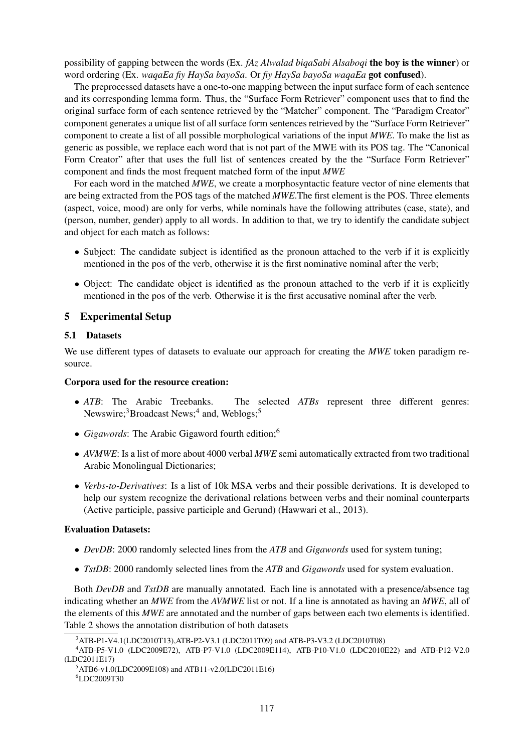possibility of gapping between the words (Ex. *fAz Alwalad biqaSabi Alsaboqi* the boy is the winner) or word ordering (Ex. *waqaEa fiy HaySa bayoSa*. Or *fiy HaySa bayoSa waqaEa* got confused).

The preprocessed datasets have a one-to-one mapping between the input surface form of each sentence and its corresponding lemma form. Thus, the "Surface Form Retriever" component uses that to find the original surface form of each sentence retrieved by the "Matcher" component. The "Paradigm Creator" component generates a unique list of all surface form sentences retrieved by the "Surface Form Retriever" component to create a list of all possible morphological variations of the input *MWE*. To make the list as generic as possible, we replace each word that is not part of the MWE with its POS tag. The "Canonical Form Creator" after that uses the full list of sentences created by the the "Surface Form Retriever" component and finds the most frequent matched form of the input *MWE*

For each word in the matched *MWE*, we create a morphosyntactic feature vector of nine elements that are being extracted from the POS tags of the matched *MWE*.The first element is the POS. Three elements (aspect, voice, mood) are only for verbs, while nominals have the following attributes (case, state), and (person, number, gender) apply to all words. In addition to that, we try to identify the candidate subject and object for each match as follows:

- Subject: The candidate subject is identified as the pronoun attached to the verb if it is explicitly mentioned in the pos of the verb, otherwise it is the first nominative nominal after the verb;
- Object: The candidate object is identified as the pronoun attached to the verb if it is explicitly mentioned in the pos of the verb. Otherwise it is the first accusative nominal after the verb.

# 5 Experimental Setup

#### 5.1 Datasets

We use different types of datasets to evaluate our approach for creating the *MWE* token paradigm resource.

#### Corpora used for the resource creation:

- *ATB*: The Arabic Treebanks. The selected *ATBs* represent three different genres: Newswire;<sup>3</sup>Broadcast News;<sup>4</sup> and, Weblogs;<sup>5</sup>
- *Gigawords*: The Arabic Gigaword fourth edition;<sup>6</sup>
- *AVMWE*: Is a list of more about 4000 verbal *MWE* semi automatically extracted from two traditional Arabic Monolingual Dictionaries;
- *Verbs-to-Derivatives*: Is a list of 10k MSA verbs and their possible derivations. It is developed to help our system recognize the derivational relations between verbs and their nominal counterparts (Active participle, passive participle and Gerund) (Hawwari et al., 2013).

#### Evaluation Datasets:

- *DevDB*: 2000 randomly selected lines from the *ATB* and *Gigawords* used for system tuning;
- *TstDB*: 2000 randomly selected lines from the *ATB* and *Gigawords* used for system evaluation.

Both *DevDB* and *TstDB* are manually annotated. Each line is annotated with a presence/absence tag indicating whether an *MWE* from the *AVMWE* list or not. If a line is annotated as having an *MWE*, all of the elements of this *MWE* are annotated and the number of gaps between each two elements is identified. Table 2 shows the annotation distribution of both datasets

<sup>3</sup>ATB-P1-V4.1(LDC2010T13),ATB-P2-V3.1 (LDC2011T09) and ATB-P3-V3.2 (LDC2010T08)

<sup>4</sup>ATB-P5-V1.0 (LDC2009E72), ATB-P7-V1.0 (LDC2009E114), ATB-P10-V1.0 (LDC2010E22) and ATB-P12-V2.0 (LDC2011E17)

<sup>5</sup>ATB6-v1.0(LDC2009E108) and ATB11-v2.0(LDC2011E16)

<sup>6</sup>LDC2009T30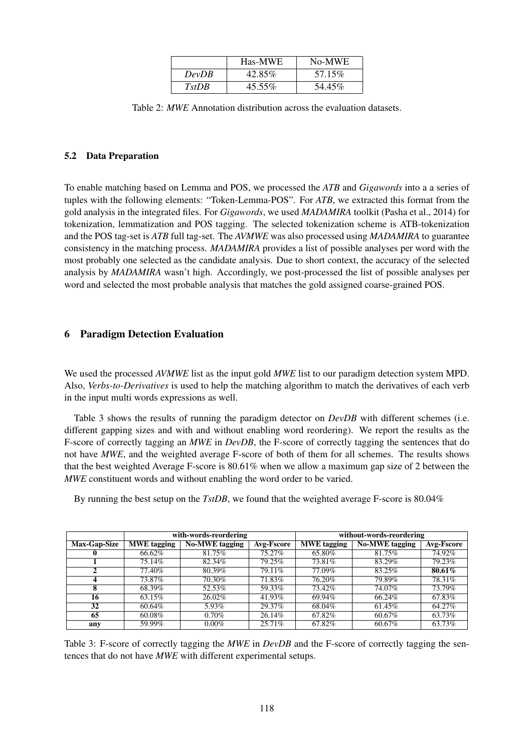|                    | Has-MWE | No-MWE  |
|--------------------|---------|---------|
| DevDB              | 42.85%  | 57.15\% |
| T <sub>st</sub> DR | 45.55%  | 54.45%  |

Table 2: *MWE* Annotation distribution across the evaluation datasets.

#### 5.2 Data Preparation

To enable matching based on Lemma and POS, we processed the *ATB* and *Gigawords* into a a series of tuples with the following elements: "Token-Lemma-POS". For *ATB*, we extracted this format from the gold analysis in the integrated files. For *Gigawords*, we used *MADAMIRA* toolkit (Pasha et al., 2014) for tokenization, lemmatization and POS tagging. The selected tokenization scheme is ATB-tokenization and the POS tag-set is *ATB* full tag-set. The *AVMWE* was also processed using *MADAMIRA* to guarantee consistency in the matching process. *MADAMIRA* provides a list of possible analyses per word with the most probably one selected as the candidate analysis. Due to short context, the accuracy of the selected analysis by *MADAMIRA* wasn't high. Accordingly, we post-processed the list of possible analyses per word and selected the most probable analysis that matches the gold assigned coarse-grained POS.

# 6 Paradigm Detection Evaluation

We used the processed *AVMWE* list as the input gold *MWE* list to our paradigm detection system MPD. Also, *Verbs-to-Derivatives* is used to help the matching algorithm to match the derivatives of each verb in the input multi words expressions as well.

Table 3 shows the results of running the paradigm detector on  $DevDB$  with different schemes (i.e. different gapping sizes and with and without enabling word reordering). We report the results as the F-score of correctly tagging an *MWE* in *DevDB*, the F-score of correctly tagging the sentences that do not have *MWE*, and the weighted average F-score of both of them for all schemes. The results shows that the best weighted Average F-score is 80.61% when we allow a maximum gap size of 2 between the *MWE* constituent words and without enabling the word order to be varied.

By running the best setup on the *TstDB*, we found that the weighted average F-score is 80.04%

|                     | with-words-reordering |                       |            | without-words-reordering |                       |                   |
|---------------------|-----------------------|-----------------------|------------|--------------------------|-----------------------|-------------------|
| <b>Max-Gap-Size</b> | <b>MWE</b> tagging    | <b>No-MWE</b> tagging | Avg-Fscore | <b>MWE</b> tagging       | <b>No-MWE</b> tagging | <b>Avg-Fscore</b> |
|                     | 66.62%                | 81.75%                | 75.27%     | 65.80%                   | 81.75%                | 74.92%            |
|                     | 75.14%                | 82.34%                | 79.25%     | 73.81%                   | 83.29%                | 79.23%            |
|                     | 77.40%                | 80.39%                | 79.11%     | 77.09%                   | 83.25%                | 80.61%            |
|                     | 73.87%                | 70.30%                | 71.83%     | 76.20%                   | 79.89%                | 78.31%            |
| 8                   | 68.39%                | 52.53%                | 59.33%     | 73.42%                   | 74.07%                | 73.79%            |
| 16                  | 63.15%                | 26.02%                | 41.93%     | 69.94%                   | 66.24%                | 67.83%            |
| 32                  | 60.64%                | 5.93%                 | 29.37%     | 68.04%                   | 61.45%                | 64.27%            |
| 65                  | 60.08%                | $0.70\%$              | 26.14%     | 67.82%                   | 60.67%                | 63.73%            |
| any                 | 59.99%                | $0.00\%$              | 25.71\%    | 67.82%                   | 60.67%                | 63.73%            |

Table 3: F-score of correctly tagging the *MWE* in *DevDB* and the F-score of correctly tagging the sentences that do not have *MWE* with different experimental setups.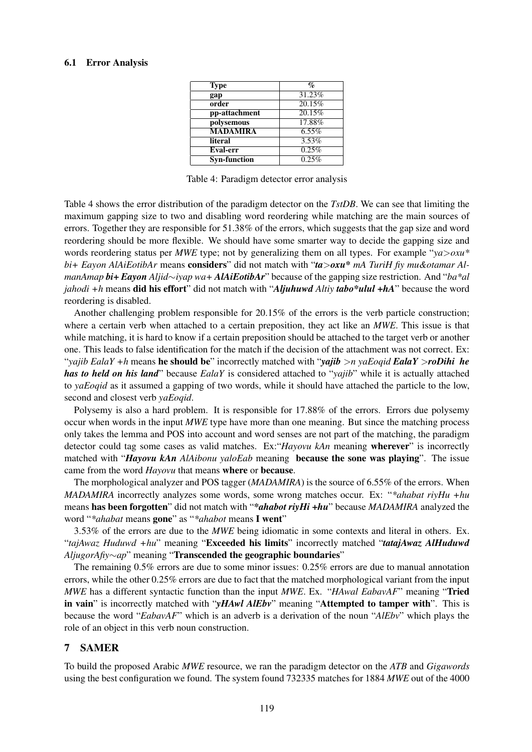#### 6.1 Error Analysis

| <b>Type</b>         | $\%$     |
|---------------------|----------|
| gap                 | 31.23%   |
| order               | 20.15%   |
| pp-attachment       | 20.15%   |
| polysemous          | 17.88%   |
| <b>MADAMIRA</b>     | $6.55\%$ |
| literal             | 3.53%    |
| Eval-err            | 0.25%    |
| <b>Syn-function</b> | 0.25%    |

Table 4: Paradigm detector error analysis

Table 4 shows the error distribution of the paradigm detector on the *TstDB*. We can see that limiting the maximum gapping size to two and disabling word reordering while matching are the main sources of errors. Together they are responsible for 51.38% of the errors, which suggests that the gap size and word reordering should be more flexible. We should have some smarter way to decide the gapping size and words reordering status per *MWE* type; not by generalizing them on all types. For example "*ya*>*oxu\* bi+ Eayon AlAiEotibAr* means considers" did not match with "*ta*>*oxu\* mA TuriH fiy mu&otamar AlmanAmap bi+ Eayon Aljid*∼*iyap wa+ AlAiEotibAr*" because of the gapping size restriction. And "*ba\*al jahodi +h* means did his effort" did not match with "*Aljuhuwd Altiy tabo\*ulul +hA*" because the word reordering is disabled.

Another challenging problem responsible for 20.15% of the errors is the verb particle construction; where a certain verb when attached to a certain preposition, they act like an *MWE*. This issue is that while matching, it is hard to know if a certain preposition should be attached to the target verb or another one. This leads to false identification for the match if the decision of the attachment was not correct. Ex: "*yajib EalaY +h* means he should be" incorrectly matched with "*yajib* >*n yaEoqid EalaY* >*roDihi he has to held on his land*" because *EalaY* is considered attached to "*yajib*" while it is actually attached to *yaEoqid* as it assumed a gapping of two words, while it should have attached the particle to the low, second and closest verb *yaEoqid*.

Polysemy is also a hard problem. It is responsible for 17.88% of the errors. Errors due polysemy occur when words in the input *MWE* type have more than one meaning. But since the matching process only takes the lemma and POS into account and word senses are not part of the matching, the paradigm detector could tag some cases as valid matches. Ex:"*Hayovu kAn* meaning wherever" is incorrectly matched with "*Hayovu kAn AlAibonu yaloEab* meaning because the sone was playing". The issue came from the word *Hayovu* that means where or because.

The morphological analyzer and POS tagger (*MADAMIRA*) is the source of 6.55% of the errors. When *MADAMIRA* incorrectly analyzes some words, some wrong matches occur. Ex: "*\*ahabat riyHu +hu* means has been forgotten" did not match with "*\*ahabot riyHi +hu*" because *MADAMIRA* analyzed the word "*\*ahabat* means gone" as "*\*ahabot* means I went"

3.53% of the errors are due to the *MWE* being idiomatic in some contexts and literal in others. Ex. "*tajAwaz Huduwd +hu*" meaning "Exceeded his limits" incorrectly matched "*tatajAwaz AlHuduwd AljugorAfiy*∼*ap*" meaning "Transcended the geographic boundaries"

The remaining 0.5% errors are due to some minor issues: 0.25% errors are due to manual annotation errors, while the other 0.25% errors are due to fact that the matched morphological variant from the input *MWE* has a different syntactic function than the input *MWE*. Ex. "*HAwal EabavAF*" meaning "Tried in vain" is incorrectly matched with "*yHAwl AlEbv*" meaning "Attempted to tamper with". This is because the word "*EabavAF*" which is an adverb is a derivation of the noun "*AlEbv*" which plays the role of an object in this verb noun construction.

# 7 SAMER

To build the proposed Arabic *MWE* resource, we ran the paradigm detector on the *ATB* and *Gigawords* using the best configuration we found. The system found 732335 matches for 1884 *MWE* out of the 4000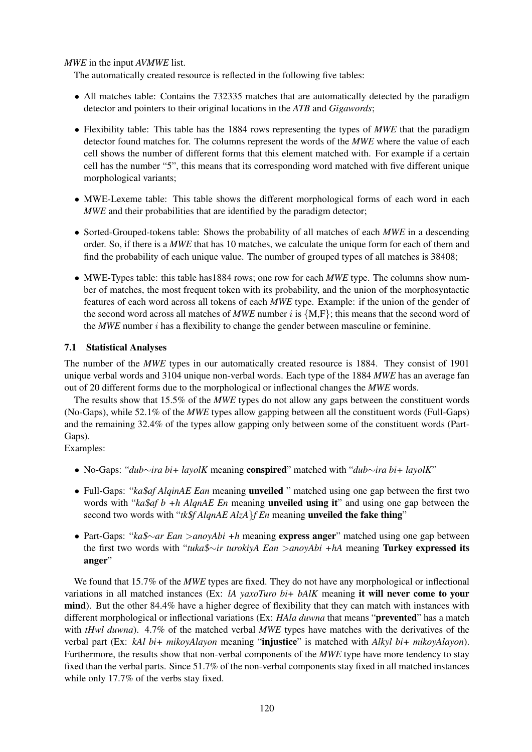*MWE* in the input *AVMWE* list.

The automatically created resource is reflected in the following five tables:

- All matches table: Contains the 732335 matches that are automatically detected by the paradigm detector and pointers to their original locations in the *ATB* and *Gigawords*;
- Flexibility table: This table has the 1884 rows representing the types of *MWE* that the paradigm detector found matches for. The columns represent the words of the *MWE* where the value of each cell shows the number of different forms that this element matched with. For example if a certain cell has the number "5", this means that its corresponding word matched with five different unique morphological variants;
- MWE-Lexeme table: This table shows the different morphological forms of each word in each *MWE* and their probabilities that are identified by the paradigm detector;
- Sorted-Grouped-tokens table: Shows the probability of all matches of each *MWE* in a descending order. So, if there is a *MWE* that has 10 matches, we calculate the unique form for each of them and find the probability of each unique value. The number of grouped types of all matches is 38408;
- MWE-Types table: this table has 1884 rows; one row for each *MWE* type. The columns show number of matches, the most frequent token with its probability, and the union of the morphosyntactic features of each word across all tokens of each *MWE* type. Example: if the union of the gender of the second word across all matches of *MWE* number i is  $\{M,F\}$ ; this means that the second word of the *MWE* number  $i$  has a flexibility to change the gender between masculine or feminine.

# 7.1 Statistical Analyses

The number of the *MWE* types in our automatically created resource is 1884. They consist of 1901 unique verbal words and 3104 unique non-verbal words. Each type of the 1884 *MWE* has an average fan out of 20 different forms due to the morphological or inflectional changes the *MWE* words.

The results show that 15.5% of the *MWE* types do not allow any gaps between the constituent words (No-Gaps), while 52.1% of the *MWE* types allow gapping between all the constituent words (Full-Gaps) and the remaining 32.4% of the types allow gapping only between some of the constituent words (Part-Gaps).

Examples:

- No-Gaps: "*dub*∼*ira bi+ layolK* meaning conspired" matched with "*dub*∼*ira bi+ layolK*"
- Full-Gaps: "*ka*\$*af AlqinAE Ean* meaning unveiled " matched using one gap between the first two words with "*ka*\$*af b +h AlqnAE En* meaning unveiled using it" and using one gap between the second two words with "*tk*\$*f AlqnAE AlzA*}*f En* meaning unveiled the fake thing"
- Part-Gaps: "*ka*\$∼*ar Ean* >*anoyAbi +h* meaning express anger" matched using one gap between the first two words with "*tuka*\$∼*ir turokiyA Ean* >*anoyAbi +hA* meaning Turkey expressed its anger"

We found that 15.7% of the *MWE* types are fixed. They do not have any morphological or inflectional variations in all matched instances (Ex: *lA yaxoTuro bi+ bAlK* meaning it will never come to your mind). But the other 84.4% have a higher degree of flexibility that they can match with instances with different morphological or inflectional variations (Ex: *HAla duwna* that means "prevented" has a match with *tHwl duwna*). 4.7% of the matched verbal *MWE* types have matches with the derivatives of the verbal part (Ex: *kAl bi+ mikoyAlayon* meaning "injustice" is matched with *Alkyl bi+ mikoyAlayon*). Furthermore, the results show that non-verbal components of the *MWE* type have more tendency to stay fixed than the verbal parts. Since 51.7% of the non-verbal components stay fixed in all matched instances while only 17.7% of the verbs stay fixed.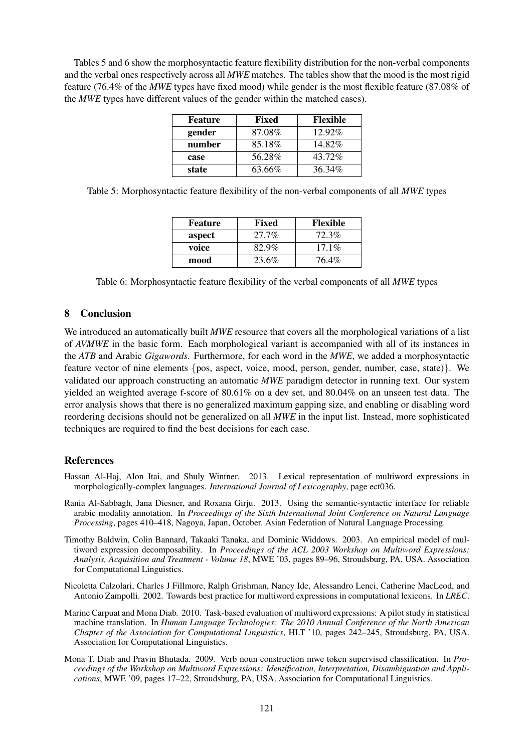Tables 5 and 6 show the morphosyntactic feature flexibility distribution for the non-verbal components and the verbal ones respectively across all *MWE* matches. The tables show that the mood is the most rigid feature (76.4% of the *MWE* types have fixed mood) while gender is the most flexible feature (87.08% of the *MWE* types have different values of the gender within the matched cases).

| <b>Feature</b> | Fixed  | <b>Flexible</b> |
|----------------|--------|-----------------|
| gender         | 87.08% | $12.92\%$       |
| number         | 85.18% | 14.82%          |
| case           | 56.28% | 43.72%          |
| state          | 63.66% | 36.34%          |

Table 5: Morphosyntactic feature flexibility of the non-verbal components of all *MWE* types

| <b>Feature</b> | Fixed | <b>Flexible</b> |
|----------------|-------|-----------------|
| aspect         | 27.7% | 72.3%           |
| voice          | 82.9% | $17.1\%$        |
| mood           | 23.6% | 76.4%           |

Table 6: Morphosyntactic feature flexibility of the verbal components of all *MWE* types

### 8 Conclusion

We introduced an automatically built *MWE* resource that covers all the morphological variations of a list of *AVMWE* in the basic form. Each morphological variant is accompanied with all of its instances in the *ATB* and Arabic *Gigawords*. Furthermore, for each word in the *MWE*, we added a morphosyntactic feature vector of nine elements {pos, aspect, voice, mood, person, gender, number, case, state)}. We validated our approach constructing an automatic *MWE* paradigm detector in running text. Our system yielded an weighted average f-score of 80.61% on a dev set, and 80.04% on an unseen test data. The error analysis shows that there is no generalized maximum gapping size, and enabling or disabling word reordering decisions should not be generalized on all *MWE* in the input list. Instead, more sophisticated techniques are required to find the best decisions for each case.

# References

- Hassan Al-Haj, Alon Itai, and Shuly Wintner. 2013. Lexical representation of multiword expressions in morphologically-complex languages. *International Journal of Lexicography*, page ect036.
- Rania Al-Sabbagh, Jana Diesner, and Roxana Girju. 2013. Using the semantic-syntactic interface for reliable arabic modality annotation. In *Proceedings of the Sixth International Joint Conference on Natural Language Processing*, pages 410–418, Nagoya, Japan, October. Asian Federation of Natural Language Processing.
- Timothy Baldwin, Colin Bannard, Takaaki Tanaka, and Dominic Widdows. 2003. An empirical model of multiword expression decomposability. In *Proceedings of the ACL 2003 Workshop on Multiword Expressions: Analysis, Acquisition and Treatment - Volume 18*, MWE '03, pages 89–96, Stroudsburg, PA, USA. Association for Computational Linguistics.
- Nicoletta Calzolari, Charles J Fillmore, Ralph Grishman, Nancy Ide, Alessandro Lenci, Catherine MacLeod, and Antonio Zampolli. 2002. Towards best practice for multiword expressions in computational lexicons. In *LREC*.
- Marine Carpuat and Mona Diab. 2010. Task-based evaluation of multiword expressions: A pilot study in statistical machine translation. In *Human Language Technologies: The 2010 Annual Conference of the North American Chapter of the Association for Computational Linguistics*, HLT '10, pages 242–245, Stroudsburg, PA, USA. Association for Computational Linguistics.
- Mona T. Diab and Pravin Bhutada. 2009. Verb noun construction mwe token supervised classification. In *Proceedings of the Workshop on Multiword Expressions: Identification, Interpretation, Disambiguation and Applications*, MWE '09, pages 17–22, Stroudsburg, PA, USA. Association for Computational Linguistics.